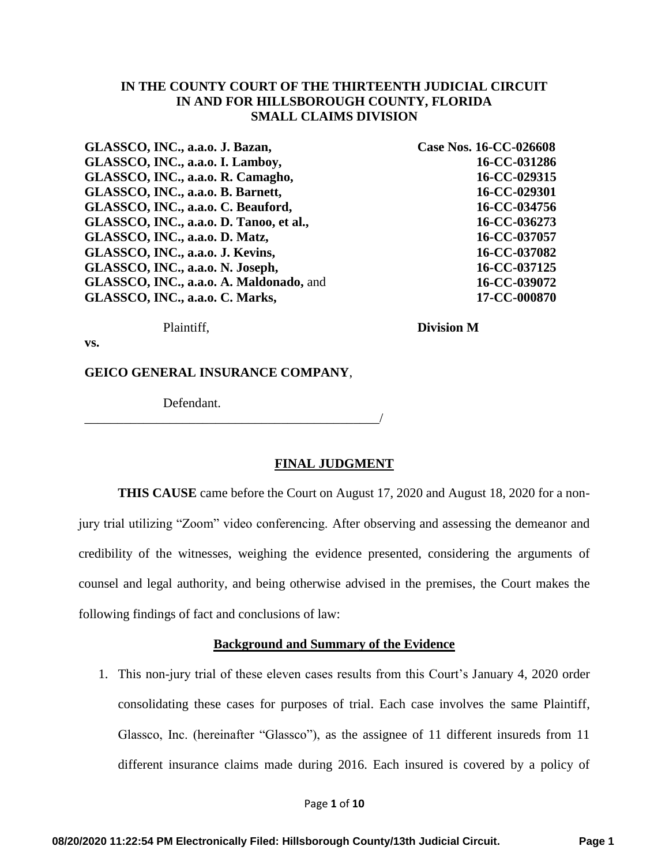### **IN THE COUNTY COURT OF THE THIRTEENTH JUDICIAL CIRCUIT IN AND FOR HILLSBOROUGH COUNTY, FLORIDA SMALL CLAIMS DIVISION**

**GLASSCO, INC., a.a.o. J. Bazan, GLASSCO, INC., a.a.o. I. Lamboy, GLASSCO, INC., a.a.o. R. Camagho, GLASSCO, INC., a.a.o. B. Barnett, GLASSCO, INC., a.a.o. C. Beauford, GLASSCO, INC., a.a.o. D. Tanoo, et al., GLASSCO, INC., a.a.o. D. Matz, GLASSCO, INC., a.a.o. J. Kevins, GLASSCO, INC., a.a.o. N. Joseph, GLASSCO, INC., a.a.o. A. Maldonado,** and **GLASSCO, INC., a.a.o. C. Marks,** 

**Case Nos. 16-CC-026608 16-CC-031286 16-CC-029315 16-CC-029301 16-CC-034756 16-CC-036273 16-CC-037057 16-CC-037082 16-CC-037125 16-CC-039072 17-CC-000870** 

Plaintiff,

**Division M**

**vs.**

**GEICO GENERAL INSURANCE COMPANY**,

\_\_\_\_\_\_\_\_\_\_\_\_\_\_\_\_\_\_\_\_\_\_\_\_\_\_\_\_\_\_\_\_\_\_\_\_\_\_\_\_\_\_\_\_\_/

Defendant.

#### **FINAL JUDGMENT**

 **THIS CAUSE** came before the Court on August 17, 2020 and August 18, 2020 for a nonjury trial utilizing "Zoom" video conferencing. After observing and assessing the demeanor and credibility of the witnesses, weighing the evidence presented, considering the arguments of counsel and legal authority, and being otherwise advised in the premises, the Court makes the following findings of fact and conclusions of law:

# **Background and Summary of the Evidence**

1. This non-jury trial of these eleven cases results from this Court's January 4, 2020 order consolidating these cases for purposes of trial. Each case involves the same Plaintiff, Glassco, Inc. (hereinafter "Glassco"), as the assignee of 11 different insureds from 11 different insurance claims made during 2016. Each insured is covered by a policy of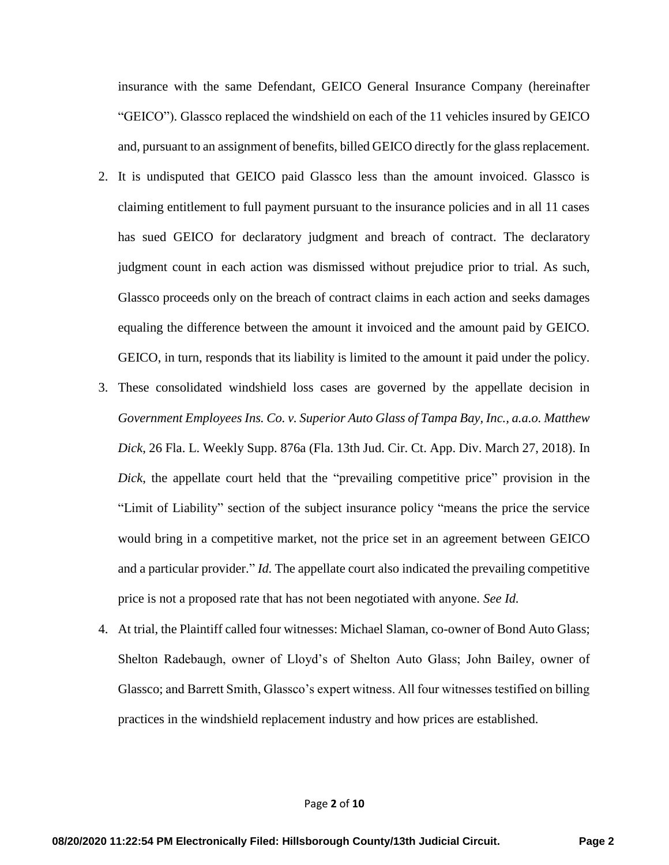insurance with the same Defendant, GEICO General Insurance Company (hereinafter "GEICO"). Glassco replaced the windshield on each of the 11 vehicles insured by GEICO and, pursuant to an assignment of benefits, billed GEICO directly for the glass replacement.

- 2. It is undisputed that GEICO paid Glassco less than the amount invoiced. Glassco is claiming entitlement to full payment pursuant to the insurance policies and in all 11 cases has sued GEICO for declaratory judgment and breach of contract. The declaratory judgment count in each action was dismissed without prejudice prior to trial. As such, Glassco proceeds only on the breach of contract claims in each action and seeks damages equaling the difference between the amount it invoiced and the amount paid by GEICO. GEICO, in turn, responds that its liability is limited to the amount it paid under the policy.
- 3. These consolidated windshield loss cases are governed by the appellate decision in *Government Employees Ins. Co. v. Superior Auto Glass of Tampa Bay, Inc., a.a.o. Matthew Dick*, 26 Fla. L. Weekly Supp. 876a (Fla. 13th Jud. Cir. Ct. App. Div. March 27, 2018). In *Dick*, the appellate court held that the "prevailing competitive price" provision in the "Limit of Liability" section of the subject insurance policy "means the price the service would bring in a competitive market, not the price set in an agreement between GEICO and a particular provider." *Id.* The appellate court also indicated the prevailing competitive price is not a proposed rate that has not been negotiated with anyone. *See Id.*
- 4. At trial, the Plaintiff called four witnesses: Michael Slaman, co-owner of Bond Auto Glass; Shelton Radebaugh, owner of Lloyd's of Shelton Auto Glass; John Bailey, owner of Glassco; and Barrett Smith, Glassco's expert witness. All four witnesses testified on billing practices in the windshield replacement industry and how prices are established.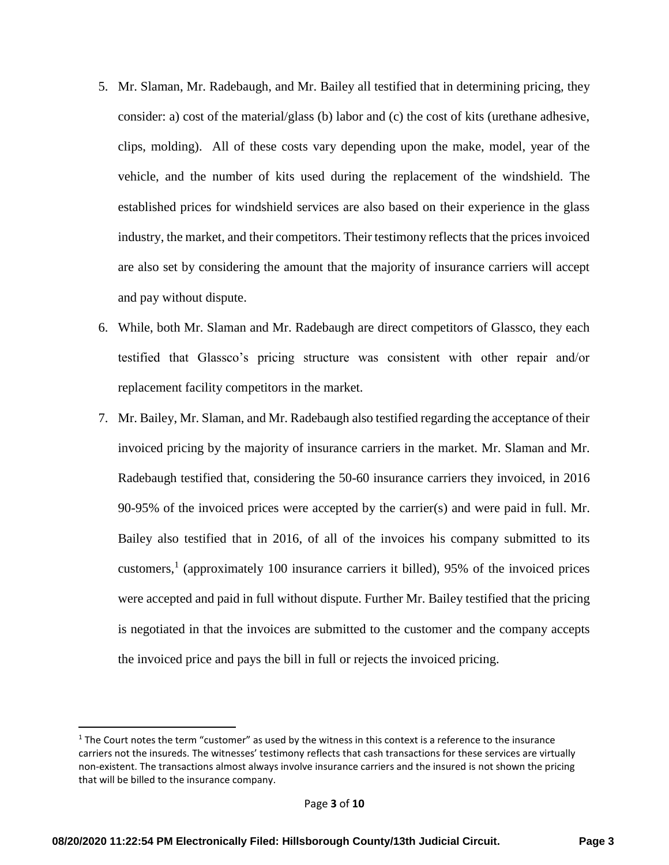- 5. Mr. Slaman, Mr. Radebaugh, and Mr. Bailey all testified that in determining pricing, they consider: a) cost of the material/glass (b) labor and (c) the cost of kits (urethane adhesive, clips, molding). All of these costs vary depending upon the make, model, year of the vehicle, and the number of kits used during the replacement of the windshield. The established prices for windshield services are also based on their experience in the glass industry, the market, and their competitors. Their testimony reflects that the prices invoiced are also set by considering the amount that the majority of insurance carriers will accept and pay without dispute.
- 6. While, both Mr. Slaman and Mr. Radebaugh are direct competitors of Glassco, they each testified that Glassco's pricing structure was consistent with other repair and/or replacement facility competitors in the market.
- 7. Mr. Bailey, Mr. Slaman, and Mr. Radebaugh also testified regarding the acceptance of their invoiced pricing by the majority of insurance carriers in the market. Mr. Slaman and Mr. Radebaugh testified that, considering the 50-60 insurance carriers they invoiced, in 2016 90-95% of the invoiced prices were accepted by the carrier(s) and were paid in full. Mr. Bailey also testified that in 2016, of all of the invoices his company submitted to its customers,<sup>1</sup> (approximately 100 insurance carriers it billed), 95% of the invoiced prices were accepted and paid in full without dispute. Further Mr. Bailey testified that the pricing is negotiated in that the invoices are submitted to the customer and the company accepts the invoiced price and pays the bill in full or rejects the invoiced pricing.

l

 $1$  The Court notes the term "customer" as used by the witness in this context is a reference to the insurance carriers not the insureds. The witnesses' testimony reflects that cash transactions for these services are virtually non-existent. The transactions almost always involve insurance carriers and the insured is not shown the pricing that will be billed to the insurance company.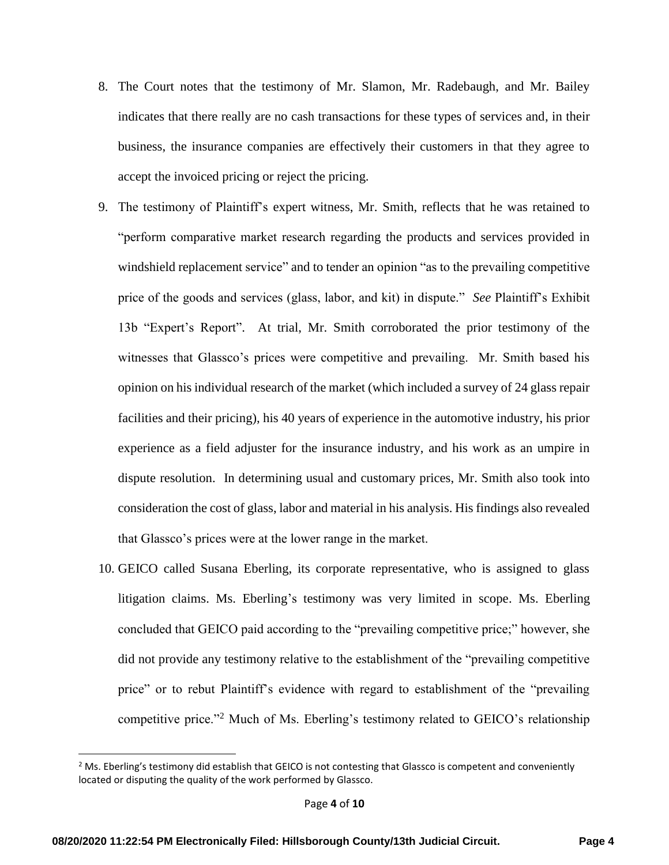- 8. The Court notes that the testimony of Mr. Slamon, Mr. Radebaugh, and Mr. Bailey indicates that there really are no cash transactions for these types of services and, in their business, the insurance companies are effectively their customers in that they agree to accept the invoiced pricing or reject the pricing.
- 9. The testimony of Plaintiff's expert witness, Mr. Smith, reflects that he was retained to "perform comparative market research regarding the products and services provided in windshield replacement service" and to tender an opinion "as to the prevailing competitive price of the goods and services (glass, labor, and kit) in dispute." *See* Plaintiff's Exhibit 13b "Expert's Report". At trial, Mr. Smith corroborated the prior testimony of the witnesses that Glassco's prices were competitive and prevailing. Mr. Smith based his opinion on his individual research of the market (which included a survey of 24 glass repair facilities and their pricing), his 40 years of experience in the automotive industry, his prior experience as a field adjuster for the insurance industry, and his work as an umpire in dispute resolution. In determining usual and customary prices, Mr. Smith also took into consideration the cost of glass, labor and material in his analysis. His findings also revealed that Glassco's prices were at the lower range in the market.
- 10. GEICO called Susana Eberling, its corporate representative, who is assigned to glass litigation claims. Ms. Eberling's testimony was very limited in scope. Ms. Eberling concluded that GEICO paid according to the "prevailing competitive price;" however, she did not provide any testimony relative to the establishment of the "prevailing competitive price" or to rebut Plaintiff's evidence with regard to establishment of the "prevailing competitive price."<sup>2</sup> Much of Ms. Eberling's testimony related to GEICO's relationship

 $\overline{\phantom{a}}$ 

 $<sup>2</sup>$  Ms. Eberling's testimony did establish that GEICO is not contesting that Glassco is competent and conveniently</sup> located or disputing the quality of the work performed by Glassco.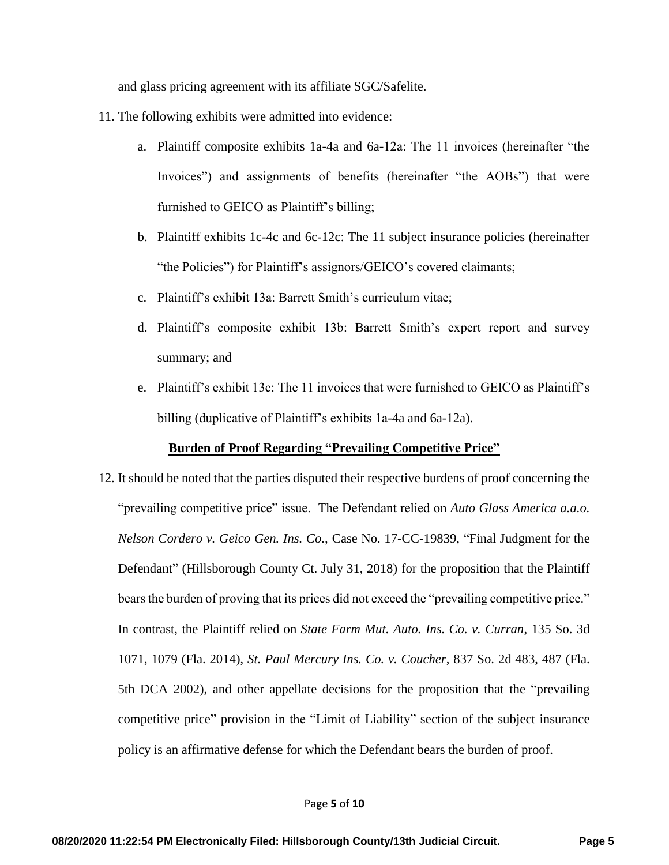and glass pricing agreement with its affiliate SGC/Safelite.

- 11. The following exhibits were admitted into evidence:
	- a. Plaintiff composite exhibits 1a-4a and 6a-12a: The 11 invoices (hereinafter "the Invoices") and assignments of benefits (hereinafter "the AOBs") that were furnished to GEICO as Plaintiff's billing;
	- b. Plaintiff exhibits 1c-4c and 6c-12c: The 11 subject insurance policies (hereinafter "the Policies") for Plaintiff's assignors/GEICO's covered claimants;
	- c. Plaintiff's exhibit 13a: Barrett Smith's curriculum vitae;
	- d. Plaintiff's composite exhibit 13b: Barrett Smith's expert report and survey summary; and
	- e. Plaintiff's exhibit 13c: The 11 invoices that were furnished to GEICO as Plaintiff's billing (duplicative of Plaintiff's exhibits 1a-4a and 6a-12a).

## **Burden of Proof Regarding "Prevailing Competitive Price"**

12. It should be noted that the parties disputed their respective burdens of proof concerning the "prevailing competitive price" issue. The Defendant relied on *Auto Glass America a.a.o. Nelson Cordero v. Geico Gen. Ins. Co.,* Case No. 17-CC-19839, "Final Judgment for the Defendant" (Hillsborough County Ct. July 31, 2018) for the proposition that the Plaintiff bears the burden of proving that its prices did not exceed the "prevailing competitive price." In contrast, the Plaintiff relied on *State Farm Mut. Auto. Ins. Co. v. Curran*, 135 So. 3d 1071, 1079 (Fla. 2014), *St. Paul Mercury Ins. Co. v. Coucher*, 837 So. 2d 483, 487 (Fla. 5th DCA 2002), and other appellate decisions for the proposition that the "prevailing competitive price" provision in the "Limit of Liability" section of the subject insurance policy is an affirmative defense for which the Defendant bears the burden of proof.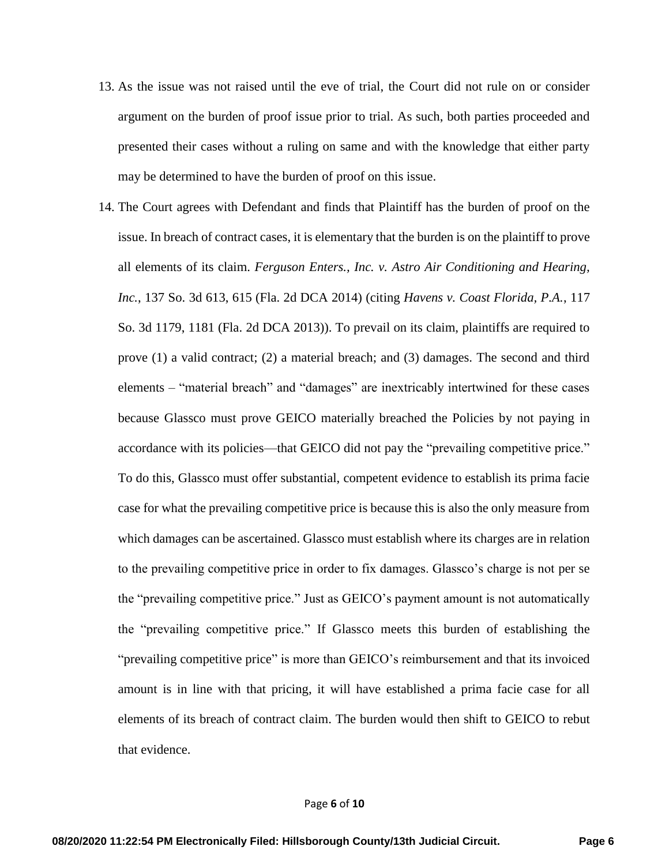- 13. As the issue was not raised until the eve of trial, the Court did not rule on or consider argument on the burden of proof issue prior to trial. As such, both parties proceeded and presented their cases without a ruling on same and with the knowledge that either party may be determined to have the burden of proof on this issue.
- 14. The Court agrees with Defendant and finds that Plaintiff has the burden of proof on the issue. In breach of contract cases, it is elementary that the burden is on the plaintiff to prove all elements of its claim. *Ferguson Enters., Inc. v. Astro Air Conditioning and Hearing, Inc.*, 137 So. 3d 613, 615 (Fla. 2d DCA 2014) (citing *Havens v. Coast Florida, P.A.*, 117 So. 3d 1179, 1181 (Fla. 2d DCA 2013)). To prevail on its claim, plaintiffs are required to prove (1) a valid contract; (2) a material breach; and (3) damages. The second and third elements – "material breach" and "damages" are inextricably intertwined for these cases because Glassco must prove GEICO materially breached the Policies by not paying in accordance with its policies—that GEICO did not pay the "prevailing competitive price." To do this, Glassco must offer substantial, competent evidence to establish its prima facie case for what the prevailing competitive price is because this is also the only measure from which damages can be ascertained. Glassco must establish where its charges are in relation to the prevailing competitive price in order to fix damages. Glassco's charge is not per se the "prevailing competitive price." Just as GEICO's payment amount is not automatically the "prevailing competitive price." If Glassco meets this burden of establishing the "prevailing competitive price" is more than GEICO's reimbursement and that its invoiced amount is in line with that pricing, it will have established a prima facie case for all elements of its breach of contract claim. The burden would then shift to GEICO to rebut that evidence.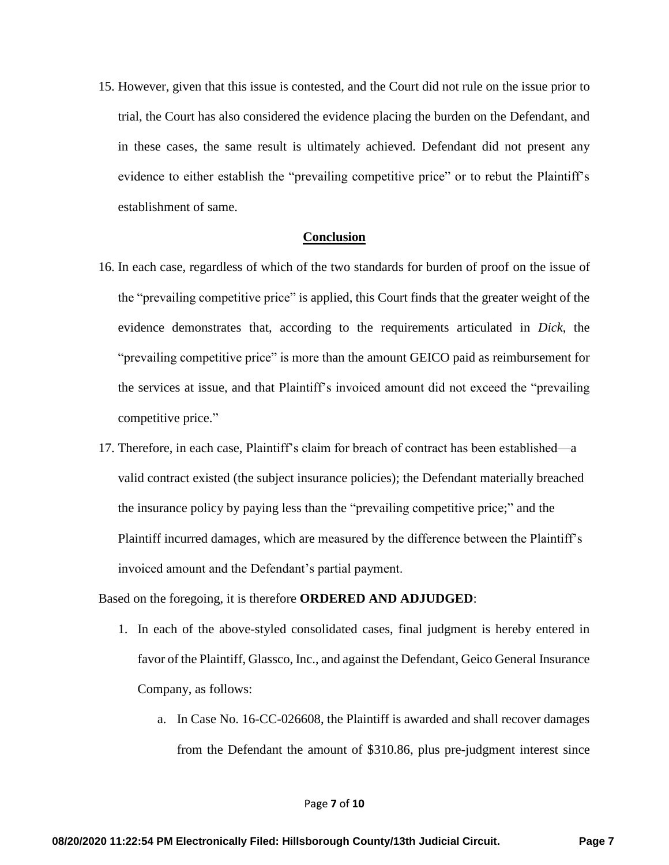15. However, given that this issue is contested, and the Court did not rule on the issue prior to trial, the Court has also considered the evidence placing the burden on the Defendant, and in these cases, the same result is ultimately achieved. Defendant did not present any evidence to either establish the "prevailing competitive price" or to rebut the Plaintiff's establishment of same.

#### **Conclusion**

- 16. In each case, regardless of which of the two standards for burden of proof on the issue of the "prevailing competitive price" is applied, this Court finds that the greater weight of the evidence demonstrates that, according to the requirements articulated in *Dick*, the "prevailing competitive price" is more than the amount GEICO paid as reimbursement for the services at issue, and that Plaintiff's invoiced amount did not exceed the "prevailing competitive price."
- 17. Therefore, in each case, Plaintiff's claim for breach of contract has been established—a valid contract existed (the subject insurance policies); the Defendant materially breached the insurance policy by paying less than the "prevailing competitive price;" and the Plaintiff incurred damages, which are measured by the difference between the Plaintiff's invoiced amount and the Defendant's partial payment.

Based on the foregoing, it is therefore **ORDERED AND ADJUDGED**:

- 1. In each of the above-styled consolidated cases, final judgment is hereby entered in favor of the Plaintiff, Glassco, Inc., and against the Defendant, Geico General Insurance Company, as follows:
	- a. In Case No. 16-CC-026608, the Plaintiff is awarded and shall recover damages from the Defendant the amount of \$310.86, plus pre-judgment interest since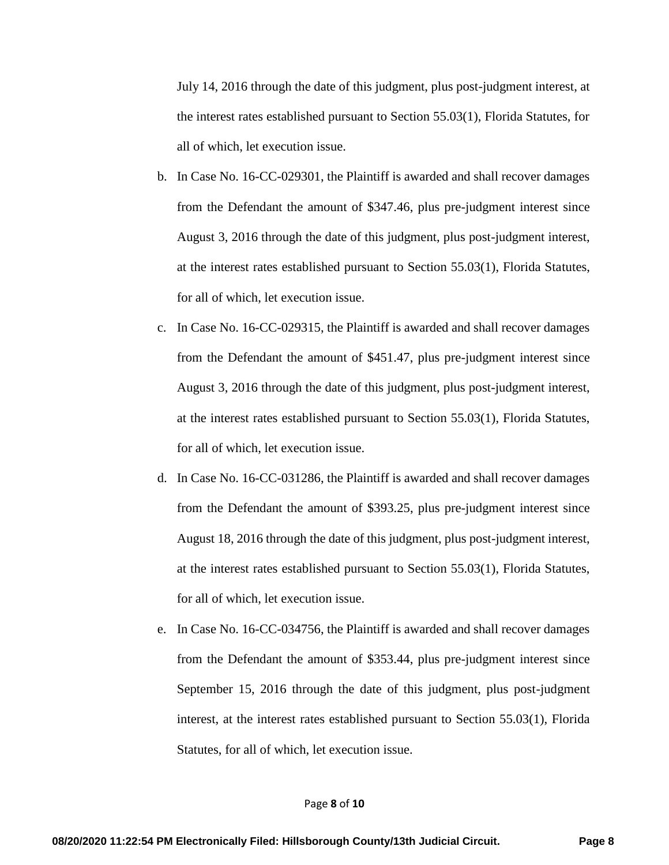July 14, 2016 through the date of this judgment, plus post-judgment interest, at the interest rates established pursuant to Section 55.03(1), Florida Statutes, for all of which, let execution issue.

- b. In Case No. 16-CC-029301, the Plaintiff is awarded and shall recover damages from the Defendant the amount of \$347.46, plus pre-judgment interest since August 3, 2016 through the date of this judgment, plus post-judgment interest, at the interest rates established pursuant to Section 55.03(1), Florida Statutes, for all of which, let execution issue.
- c. In Case No. 16-CC-029315, the Plaintiff is awarded and shall recover damages from the Defendant the amount of \$451.47, plus pre-judgment interest since August 3, 2016 through the date of this judgment, plus post-judgment interest, at the interest rates established pursuant to Section 55.03(1), Florida Statutes, for all of which, let execution issue.
- d. In Case No. 16-CC-031286, the Plaintiff is awarded and shall recover damages from the Defendant the amount of \$393.25, plus pre-judgment interest since August 18, 2016 through the date of this judgment, plus post-judgment interest, at the interest rates established pursuant to Section 55.03(1), Florida Statutes, for all of which, let execution issue.
- e. In Case No. 16-CC-034756, the Plaintiff is awarded and shall recover damages from the Defendant the amount of \$353.44, plus pre-judgment interest since September 15, 2016 through the date of this judgment, plus post-judgment interest, at the interest rates established pursuant to Section 55.03(1), Florida Statutes, for all of which, let execution issue.

#### Page **8** of **10**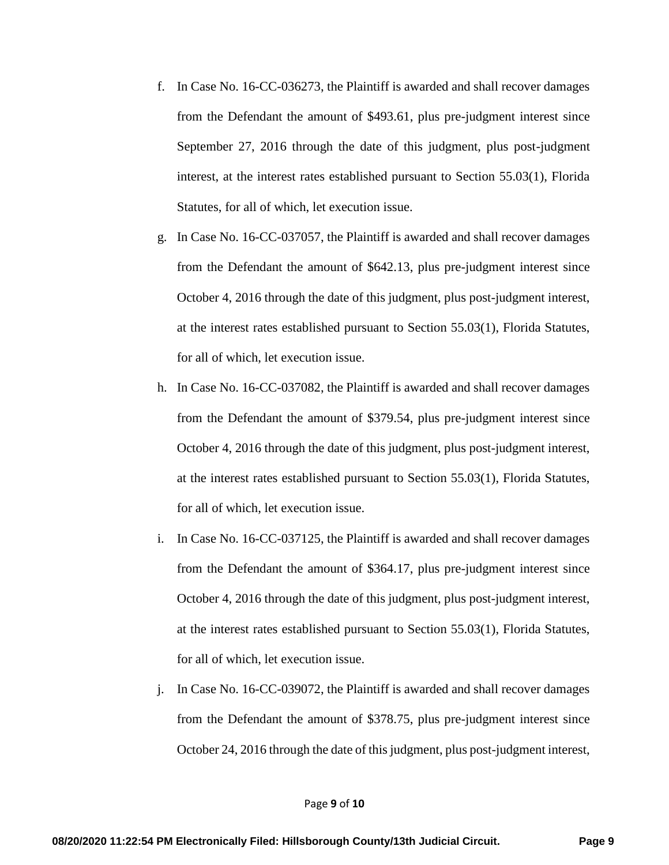- f. In Case No. 16-CC-036273, the Plaintiff is awarded and shall recover damages from the Defendant the amount of \$493.61, plus pre-judgment interest since September 27, 2016 through the date of this judgment, plus post-judgment interest, at the interest rates established pursuant to Section 55.03(1), Florida Statutes, for all of which, let execution issue.
- g. In Case No. 16-CC-037057, the Plaintiff is awarded and shall recover damages from the Defendant the amount of \$642.13, plus pre-judgment interest since October 4, 2016 through the date of this judgment, plus post-judgment interest, at the interest rates established pursuant to Section 55.03(1), Florida Statutes, for all of which, let execution issue.
- h. In Case No. 16-CC-037082, the Plaintiff is awarded and shall recover damages from the Defendant the amount of \$379.54, plus pre-judgment interest since October 4, 2016 through the date of this judgment, plus post-judgment interest, at the interest rates established pursuant to Section 55.03(1), Florida Statutes, for all of which, let execution issue.
- i. In Case No. 16-CC-037125, the Plaintiff is awarded and shall recover damages from the Defendant the amount of \$364.17, plus pre-judgment interest since October 4, 2016 through the date of this judgment, plus post-judgment interest, at the interest rates established pursuant to Section 55.03(1), Florida Statutes, for all of which, let execution issue.
- j. In Case No. 16-CC-039072, the Plaintiff is awarded and shall recover damages from the Defendant the amount of \$378.75, plus pre-judgment interest since October 24, 2016 through the date of this judgment, plus post-judgment interest,